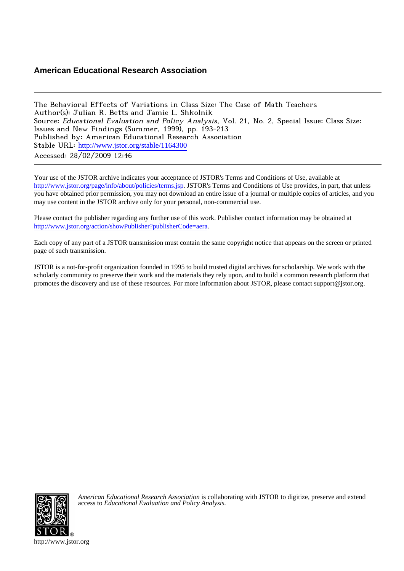# **American Educational Research Association**

The Behavioral Effects of Variations in Class Size: The Case of Math Teachers Author(s): Julian R. Betts and Jamie L. Shkolnik Source: Educational Evaluation and Policy Analysis, Vol. 21, No. 2, Special Issue: Class Size: Issues and New Findings (Summer, 1999), pp. 193-213 Published by: American Educational Research Association Stable URL: [http://www.jstor.org/stable/1164300](http://www.jstor.org/stable/1164300?origin=JSTOR-pdf) Accessed: 28/02/2009 12:46

Your use of the JSTOR archive indicates your acceptance of JSTOR's Terms and Conditions of Use, available at <http://www.jstor.org/page/info/about/policies/terms.jsp>. JSTOR's Terms and Conditions of Use provides, in part, that unless you have obtained prior permission, you may not download an entire issue of a journal or multiple copies of articles, and you may use content in the JSTOR archive only for your personal, non-commercial use.

Please contact the publisher regarding any further use of this work. Publisher contact information may be obtained at [http://www.jstor.org/action/showPublisher?publisherCode=aera.](http://www.jstor.org/action/showPublisher?publisherCode=aera)

Each copy of any part of a JSTOR transmission must contain the same copyright notice that appears on the screen or printed page of such transmission.

JSTOR is a not-for-profit organization founded in 1995 to build trusted digital archives for scholarship. We work with the scholarly community to preserve their work and the materials they rely upon, and to build a common research platform that promotes the discovery and use of these resources. For more information about JSTOR, please contact support@jstor.org.



*American Educational Research Association* is collaborating with JSTOR to digitize, preserve and extend access to *Educational Evaluation and Policy Analysis.*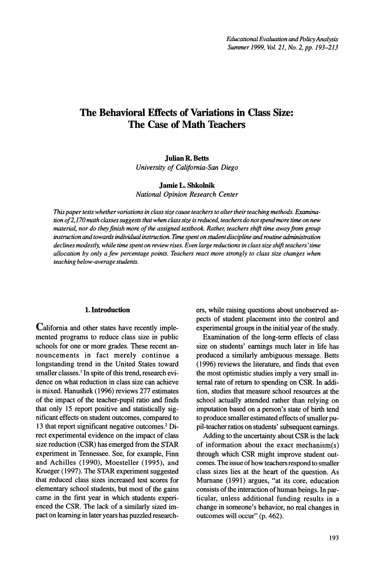# **The Behavioral Effects of Variations in Class Size: The Case of Math Teachers**

# **Julian R. Betts**

**University of California-San Diego** 

#### **Jamie L. Shkolnik**

**National Opinion Research Center** 

**This paper tests whether variations in class size cause teachers to alter their teaching methods. Examination of 2,170 math classes suggests that when class size is reduced, teachers do not spend more time on new material, nor do they finish more of the assigned textbook Rather, teachers shift time away from group instruction and towards individual instruction. Time spent on student discipline and routine administration declines modestly, while time spent on review rises. Even large reductions in class size shift teachers'time allocation by only a few percentage points. Teachers react more strongly to class size changes when teaching below-average students.** 

# **1. Introduction**

**California and other states have recently implemented programs to reduce class size in public schools for one or more grades. These recent announcements in fact merely continue a longstanding trend in the United States toward smaller classes.' In spite of this trend, research evidence on what reduction in class size can achieve is mixed. Hanushek (1996) reviews 277 estimates of the impact of the teacher-pupil ratio and finds that only 15 report positive and statistically significant effects on student outcomes, compared to 13 that report significant negative outcomes.2 Direct experimental evidence on the impact of class size reduction (CSR) has emerged from the STAR experiment in Tennessee. See, for example, Finn and Achilles (1990), Moesteller (1995), and Krueger (1997). The STAR experiment suggested that reduced class sizes increased test scores for elementary school students, but most of the gains came in the first year in which students experienced the CSR. The lack of a similarly sized impact on learning in later years has puzzled research-** **ers, while raising questions about unobserved aspects of student placement into the control and experimental groups in the initial year of the study.** 

**Examination of the long-term effects of class size on students' earnings much later in life has produced a similarly ambiguous message. Betts (1996) reviews the literature, and finds that even the most optimistic studies imply a very small internal rate of return to spending on CSR. In addition, studies that measure school resources at the school actually attended rather than relying on imputation based on a person's state of birth tend to produce smaller estimated effects of smaller pupil-teacher ratios on students' subsequent earnings.** 

**Adding to the uncertainty about CSR is the lack of information about the exact mechanism(s) through which CSR might improve student outcomes. The issue of how teachers respond to smaller class sizes lies at the heart of the question. As Murnane (1991) argues, "at its core, education consists of the interaction of human beings. In particular, unless additional funding results in a change in someone's behavior, no real changes in outcomes will occur" (p. 462).**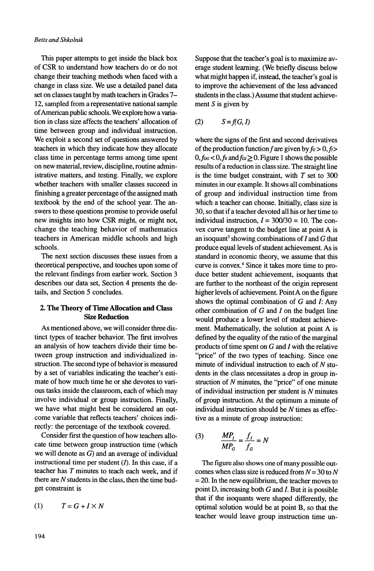**This paper attempts to get inside the black box of CSR to understand how teachers do or do not change their teaching methods when faced with a change in class size. We use a detailed panel data set on classes taught by math teachers in Grades 7- 12, sampled from a representative national sample of American public schools. We explore how a variation in class size affects the teachers' allocation of time between group and individual instruction. We exploit a second set of questions answered by teachers in which they indicate how they allocate class time in percentage terms among time spent on new material, review, discipline, routine administrative matters, and testing. Finally, we explore whether teachers with smaller classes succeed in finishing a greater percentage of the assigned math textbook by the end of the school year. The answers to these questions promise to provide useful new insights into how CSR might, or might not, change the teaching behavior of mathematics teachers in American middle schools and high schools.** 

**The next section discusses these issues from a theoretical perspective, and touches upon some of the relevant findings from earlier work. Section 3 describes our data set, Section 4 presents the details, and Section 5 concludes.** 

# **2. The Theory of Time Allocation and Class Size Reduction**

**As mentioned above, we will consider three distinct types of teacher behavior. The first involves an analysis of how teachers divide their time between group instruction and individualized instruction. The second type of behavior is measured by a set of variables indicating the teacher's estimate of how much time he or she devotes to various tasks inside the classroom, each of which may involve individual or group instruction. Finally, we have what might best be considered an outcome variable that reflects teachers' choices indirectly: the percentage of the textbook covered.** 

**Consider first the question of how teachers allocate time between group instruction time (which we will denote as G) and an average of individual**  instructional time per student  $(I)$ . In this case, if a **teacher has T minutes to teach each week, and if there are N students in the class, then the time budget constraint is** 

$$
(1) \tT = G + I \times N
$$

**Suppose that the teacher's goal is to maximize average student learning. (We briefly discuss below what might happen if, instead, the teacher's goal is to improve the achievement of the less advanced students in the class.) Assume that student achievement S is given by** 

$$
(2) \tS=f(G,I)
$$

**where the signs of the first and second derivatives**  of the production function f are given by  $f_G > 0, f_i >$  $0, \frac{f}{G} < 0, \frac{f}{\ln}$  and  $\frac{f}{G} > 0$ . Figure 1 shows the possible **results of a reduction in class size. The straight line is the time budget constraint, with T set to 300 minutes in our example. It shows all combinations of group and individual instruction time from which a teacher can choose. Initially, class size is 30, so that if a teacher devoted all his or her time to**  individual instruction,  $I = 300/30 = 10$ . The con**vex curve tangent to the budget line at point A is an isoquant3 showing combinations of I and G that produce equal levels of student achievement. As is standard in economic theory, we assume that this curve is convex.4 Since it takes more time to produce better student achievement, isoquants that are further to the northeast of the origin represent higher levels of achievement. PointA on the figure shows the optimal combination of G and I: Any other combination of G and I on the budget line would produce a lower level of student achievement. Mathematically, the solution at point A is defined by the equality of the ratio of the marginal products of time spent on G and I with the relative "price" of the two types of teaching. Since one minute of individual instruction to each of N students in the class necessitates a drop in group instruction of N minutes, the "price" of one minute of individual instruction per student is N minutes of group instruction. At the optimum a minute of individual instruction should be N times as effective as a minute of group instruction:** 

$$
\frac{MP_I}{MP_G} = \frac{f_I}{f_G} = N
$$

**The figure also shows one of many possible out**comes when class size is reduced from  $N = 30$  to N **= 20. In the new equilibrium, the teacher moves to point D, increasing both G and I. But it is possible that if the isoquants were shaped differently, the optimal solution would be at point B, so that the teacher would leave group instruction time un-**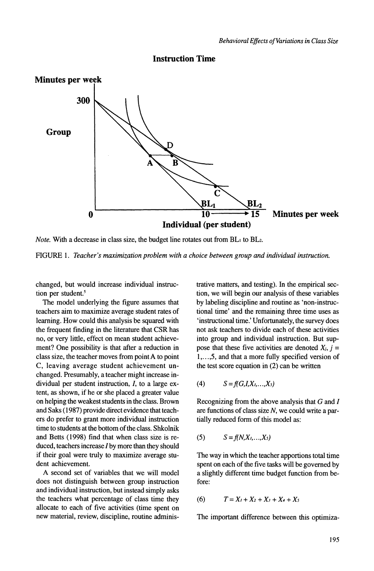# **Instruction Time**



**Note. With a decrease in class size, the budget line rotates out from BLi to BL2.** 

**FIGURE 1. Teacher's maximization problem with a choice between group and individual instruction.** 

**changed, but would increase individual instruc**tion per student.<sup>5</sup>

**The model underlying the figure assumes that teachers aim to maximize average student rates of learning. How could this analysis be squared with the frequent finding in the literature that CSR has no, or very little, effect on mean student achievement? One possibility is that after a reduction in class size, the teacher moves from point A to point C, leaving average student achievement unchanged. Presumably, a teacher might increase individual per student instruction, I, to a large extent, as shown, if he or she placed a greater value on helping the weakest students in the class. Brown and Saks (1987) provide direct evidence that teachers do prefer to grant more individual instruction time to students at the bottom of the class. Shkolnik and Betts (1998) find that when class size is reduced, teachers increase I by more than they should if their goal were truly to maximize average student achievement.** 

**A second set of variables that we will model does not distinguish between group instruction and individual instruction, but instead simply asks the teachers what percentage of class time they allocate to each of five activities (time spent on new material, review, discipline, routine adminis-** **trative matters, and testing). In the empirical section, we will begin our analysis of these variables by labeling discipline and routine as 'non-instructional time' and the remaining three time uses as 'instructional time.' Unfortunately, the survey does not ask teachers to divide each of these activities into group and individual instruction. But sup**pose that these five activities are denoted  $X_j$ ,  $j =$ **1,...,5, and that a more fully specified version of the test score equation in (2) can be written** 

$$
(4) \tS=f(G,I,X_1,...,X_5)
$$

**Recognizing from the above analysis that G and I are functions of class size N, we could write a partially reduced form of this model as:** 

$$
(5) \tS=f(N,X_1,...,X_5)
$$

**The way in which the teacher apportions total time spent on each of the five tasks will be governed by a slightly different time budget function from before:** 

$$
(6) \hspace{1cm} T = X_1 + X_2 + X_3 + X_4 + X_5
$$

**The important difference between this optimiza-**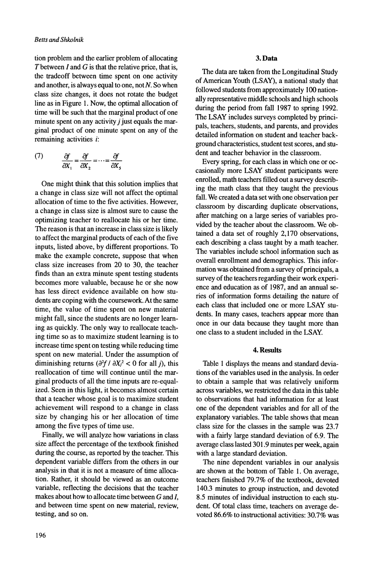**tion problem and the earlier problem of allocating T between I and G is that the relative price, that is, the tradeoff between time spent on one activity and another, is always equal to one, not N. So when class size changes, it does not rotate the budget line as in Figure 1. Now, the optimal allocation of time will be such that the marginal product of one**  minute spent on any activity  $j$  just equals the mar**ginal product of one minute spent on any of the remaining activities i:** 

$$
\frac{\partial f}{\partial x_1} = \frac{\partial f}{\partial x_2} = \dots = \frac{\partial f}{\partial x_s}
$$

**One might think that this solution implies that a change in class size will not affect the optimal allocation of time to the five activities. However, a change in class size is almost sure to cause the optimizing teacher to reallocate his or her time. The reason is that an increase in class size is likely to affect the marginal products of each of the five inputs, listed above, by different proportions. To make the example concrete, suppose that when class size increases from 20 to 30, the teacher finds than an extra minute spent testing students becomes more valuable, because he or she now has less direct evidence available on how students are coping with the coursework. At the same time, the value of time spent on new material might fall, since the students are no longer learning as quickly. The only way to reallocate teaching time so as to maximize student learning is to increase time spent on testing while reducing time spent on new material. Under the assumption of**  diminishing returns  $\left(\frac{\partial^2 f}{\partial X} \right)^2 < 0$  for all j), this **reallocation of time will continue until the marginal products of all the time inputs are re-equalized. Seen in this light, it becomes almost certain that a teacher whose goal is to maximize student achievement will respond to a change in class size by changing his or her allocation of time among the five types of time use.** 

**Finally, we will analyze how variations in class size affect the percentage of the textbook finished during the course, as reported by the teacher. This dependent variable differs from the others in our analysis in that it is not a measure of time allocation. Rather, it should be viewed as an outcome variable, reflecting the decisions that the teacher makes about how to allocate time between G and I, and between time spent on new material, review, testing, and so on.** 

## **3. Data**

**The data are taken from the Longitudinal Study of American Youth (LSAY), a national study that followed students from approximately 100 nationally representative middle schools and high schools during the period from fall 1987 to spring 1992. The LSAY includes surveys completed by principals, teachers, students, and parents, and provides detailed information on student and teacher background characteristics, student test scores, and student and teacher behavior in the classroom.** 

**Every spring, for each class in which one or occasionally more LSAY student participants were enrolled, math teachers filled out a survey describing the math class that they taught the previous fall. We created a data set with one observation per classroom by discarding duplicate observations, after matching on a large series of variables provided by the teacher about the classroom. We obtained a data set of roughly 2,170 observations, each describing a class taught by a math teacher. The variables include school information such as overall enrollment and demographics. This information was obtained from a survey of principals, a survey of the teachers regarding their work experience and education as of 1987, and an annual series of information forms detailing the nature of each class that included one or more LSAY students. In many cases, teachers appear more than once in our data because they taught more than one class to a student included in the LSAY.** 

#### **4. Results**

**Table 1 displays the means and standard deviations of the variables used in the analysis. In order to obtain a sample that was relatively uniform across variables, we restricted the data in this table to observations that had information for at least one of the dependent variables and for all of the explanatory variables. The table shows that mean class size for the classes in the sample was 23.7 with a fairly large standard deviation of 6.9. The average class lasted 301.9 minutes per week, again with a large standard deviation.** 

**The nine dependent variables in our analysis are shown at the bottom of Table 1. On average, teachers finished 79.7% of the textbook, devoted 140.3 minutes to group instruction, and devoted 8.5 minutes of individual instruction to each student. Of total class time, teachers on average devoted 86.6% to instructional activities: 30.7% was**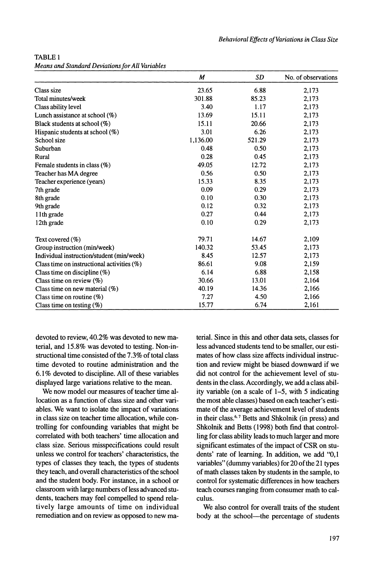**TABLE 1** 

**Means and Standard Deviations for All Variables** 

|                                               | M        | <b>SD</b> | No. of observations |
|-----------------------------------------------|----------|-----------|---------------------|
| Class size                                    | 23.65    | 6.88      | 2,173               |
| Total minutes/week                            | 301.88   | 85.23     | 2,173               |
| Class ability level                           | 3.40     | 1.17      | 2,173               |
| Lunch assistance at school $(\%)$             | 13.69    | 15.11     | 2,173               |
| Black students at school (%)                  | 15.11    | 20.66     | 2,173               |
| Hispanic students at school (%)               | 3.01     | 6.26      | 2,173               |
| School size                                   | 1,136.00 | 521.29    | 2,173               |
| Suburban                                      | 0.48     | 0.50      | 2,173               |
| Rural                                         | 0.28     | 0.45      | 2,173               |
| Female students in class $(\% )$              | 49.05    | 12.72     | 2,173               |
| Teacher has MA degree                         | 0.56     | 0.50      | 2,173               |
| Teacher experience (years)                    | 15.33    | 8.35      | 2,173               |
| 7th grade                                     | 0.09     | 0.29      | 2,173               |
| 8th grade                                     | 0.10     | 0.30      | 2,173               |
| 9th grade                                     | 0.12     | 0.32      | 2,173               |
| 11th grade                                    | 0.27     | 0.44      | 2,173               |
| 12th grade                                    | 0.10     | 0.29      | 2,173               |
| Text covered $(\% )$                          | 79.71    | 14.67     | 2,109               |
| Group instruction (min/week)                  | 140.32   | 53.45     | 2,173               |
| Individual instruction/student (min/week)     | 8.45     | 12.57     | 2,173               |
| Class time on instructional activities $(\%)$ | 86.61    | 9.08      | 2,159               |
| Class time on discipline (%)                  | 6.14     | 6.88      | 2,158               |
| Class time on review $(\% )$                  | 30.66    | 13.01     | 2,164               |
| Class time on new material $(\%)$             | 40.19    | 14.36     | 2,166               |
| Class time on routine $(\%)$                  | 7.27     | 4.50      | 2,166               |
| Class time on testing $(\%)$                  | 15.77    | 6.74      | 2,161               |

**devoted to review, 40.2% was devoted to new material, and 15.8% was devoted to testing. Non-instructional time consisted of the 7.3% of total class time devoted to routine administration and the 6.1% devoted to discipline. All of these variables displayed large variations relative to the mean.** 

**We now model our measures of teacher time allocation as a function of class size and other variables. We want to isolate the impact of variations in class size on teacher time allocation, while controlling for confounding variables that might be correlated with both teachers' time allocation and class size. Serious misspecifications could result unless we control for teachers' characteristics, the types of classes they teach, the types of students they teach, and overall characteristics of the school and the student body. For instance, in a school or classroom with large numbers of less advanced students, teachers may feel compelled to spend relatively large amounts of time on individual remediation and on review as opposed to new ma-** **terial. Since in this and other data sets, classes for less advanced students tend to be smaller, our estimates of how class size affects individual instruction and review might be biased downward if we did not control for the achievement level of students in the class. Accordingly, we add a class ability variable (on a scale of 1-5, with 5 indicating the most able classes) based on each teacher's estimate of the average achievement level of students in their class.6'7 Betts and Shkolnik (in press) and Shkolnik and Betts (1998) both find that controlling for class ability leads to much larger and more significant estimates of the impact of CSR on students' rate of learning. In addition, we add "0,1 variables" (dummy variables) for 20 of the 21 types of math classes taken by students in the sample, to control for systematic differences in how teachers teach courses ranging from consumer math to calculus.** 

**We also control for overall traits of the student body at the school-the percentage of students**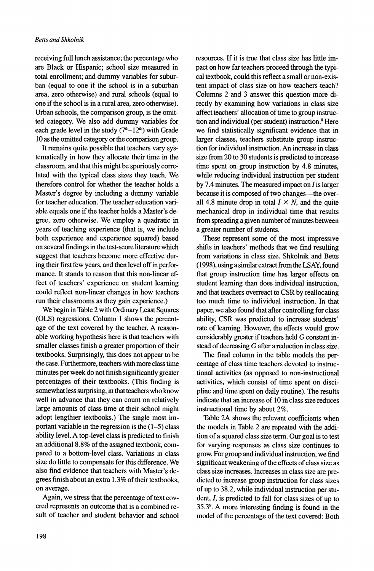**receiving full lunch assistance; the percentage who are Black or Hispanic; school size measured in total enrollment; and dummy variables for suburban (equal to one if the school is in a suburban area, zero otherwise) and rural schools (equal to one if the school is in a rural area, zero otherwise). Urban schools, the comparison group, is the omitted category. We also add dummy variables for**  each grade level in the study ( $7<sup>th</sup>-12<sup>th</sup>$ ) with Grade **10 as the omitted category or the comparison group.** 

**It remains quite possible that teachers vary systematically in how they allocate their time in the classroom, and that this might be spuriously correlated with the typical class sizes they teach. We therefore control for whether the teacher holds a Master's degree by including a dummy variable for teacher education. The teacher education variable equals one if the teacher holds a Master's degree, zero otherwise. We employ a quadratic in years of teaching experience (that is, we include both experience and experience squared) based on several findings in the test-score literature which suggest that teachers become more effective during their first few years, and then level off in performance. It stands to reason that this non-linear effect of teachers' experience on student learning could reflect non-linear changes in how teachers run their classrooms as they gain experience.)** 

**We begin in Table 2 with Ordinary Least Squares (OLS) regressions. Column 1 shows the percentage of the text covered by the teacher. A reasonable working hypothesis here is that teachers with smaller classes finish a greater proportion of their textbooks. Surprisingly, this does not appear to be the case. Furthermore, teachers with more class time minutes per week do not finish significantly greater percentages of their textbooks. (This finding is somewhat less surprising, in that teachers who know well in advance that they can count on relatively large amounts of class time at their school might adopt lengthier textbooks.) The single most important variable in the regression is the (1-5) class ability level. A top-level class is predicted to finish an additional 8.8% of the assigned textbook, compared to a bottom-level class. Variations in class size do little to compensate for this difference. We also find evidence that teachers with Master's degrees finish about an extra 1.3% of their textbooks, on average.** 

**Again, we stress that the percentage of text covered represents an outcome that is a combined result of teacher and student behavior and school** 

**resources. If it is true that class size has little impact on how far teachers proceed through the typical textbook, could this reflect a small or non-existent impact of class size on how teachers teach? Columns 2 and 3 answer this question more directly by examining how variations in class size affect teachers' allocation of time to group instruction and individual (per student) instruction.8 Here we find statistically significant evidence that in larger classes, teachers substitute group instruction for individual instruction. An increase in class size from 20 to 30 students is predicted to increase time spent on group instruction by 4.8 minutes, while reducing individual instruction per student by 7.4 minutes. The measured impact on I is larger**  because it is composed of two changes—the overall 4.8 minute drop in total  $I \times N$ , and the quite **mechanical drop in individual time that results from spreading a given number of minutes between a greater number of students.** 

**These represent some of the most impressive shifts in teachers' methods that we find resulting from variations in class size. Shkolnik and Betts (1998), using a similar extract from the LSAY, found that group instruction time has larger effects on student learning than does individual instruction,**  and that teachers overreact to CSR by reallocating **too much time to individual instruction. In that paper, we also found that after controlling for class ability, CSR was predicted to increase students' rate of learning. However, the effects would grow considerably greater if teachers held G constant instead of decreasing G after a reduction in class size.** 

**The final column in the table models the percentage of class time teachers devoted to instructional activities (as opposed to non-instructional activities, which consist of time spent on discipline and time spent on daily routine). The results indicate that an increase of 10 in class size reduces instructional time by about 2%.** 

**Table 2A shows the relevant coefficients when the models in Table 2 are repeated with the addition of a squared class size term. Our goal is to test for varying responses as class size continues to grow. For group and individual instruction, we find significant weakening of the effects of class size as class size increases. Increases in class size are predicted to increase group instruction for class sizes of up to 38.2, while individual instruction per student, I, is predicted to fall for class sizes of up to 35.39. A more interesting finding is found in the model of the percentage of the text covered: Both**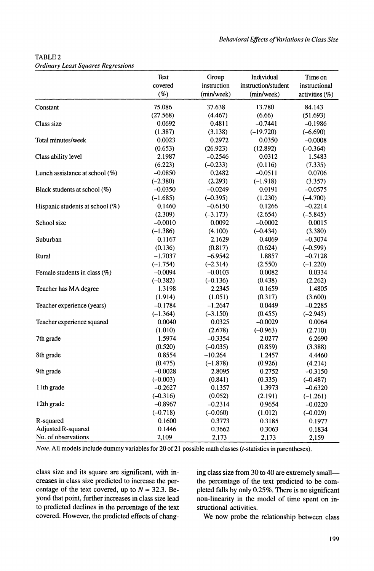|                                 | Text       | Group       | Individual          | Time on        |
|---------------------------------|------------|-------------|---------------------|----------------|
|                                 | covered    | instruction | instruction/student | instructional  |
|                                 | $(\%)$     | (min/week)  | (min/week)          | activities (%) |
| Constant                        | 75.086     | 37.638      | 13.780              | 84.143         |
|                                 | (27.568)   | (4.467)     | (6.66)              | (51.693)       |
| Class size                      | 0.0692     | 0.4811      | $-0.7441$           | $-0.1986$      |
|                                 | (1.387)    | (3.138)     | $(-19.720)$         | $(-6.690)$     |
| Total minutes/week              | 0.0023     | 0.2972      | 0.0350              | $-0.0008$      |
|                                 | (0.653)    | (26.923)    | (12.892)            | $(-0.364)$     |
| Class ability level             | 2.1987     | $-0.2546$   | 0.0312              | 1.5483         |
|                                 | (6.223)    | $(-0.233)$  | (0.116)             | (7.335)        |
| Lunch assistance at school (%)  | $-0.0850$  | 0.2482      | $-0.0511$           | 0.0706         |
|                                 | $(-2.380)$ | (2.293)     | $(-1.918)$          | (3.357)        |
| Black students at school (%)    | $-0.0350$  | $-0.0249$   | 0.0191              | $-0.0575$      |
|                                 | $(-1.685)$ | $(-0.395)$  | (1.230)             | $(-4.700)$     |
| Hispanic students at school (%) | 0.1460     | $-0.6150$   | 0.1266              | $-0.2214$      |
|                                 | (2.309)    | $(-3.173)$  | (2.654)             | $(-5.845)$     |
| School size                     | $-0.0010$  | 0.0092      | $-0.0002$           | 0.0015         |
|                                 | $(-1.386)$ | (4.100)     | $(-0.434)$          | (3.380)        |
| Suburban                        | 0.1167     | 2.1629      | 0.4069              | $-0.3074$      |
|                                 | (0.136)    | (0.817)     | (0.624)             | $(-0.599)$     |
| Rural                           | $-1.7037$  | $-6.9542$   | 1.8857              | $-0.7128$      |
|                                 | $(-1.754)$ | $(-2.314)$  | (2.550)             | $(-1.220)$     |
| Female students in class (%)    | $-0.0094$  | $-0.0103$   | 0.0082              | 0.0334         |
|                                 | $(-0.382)$ | $(-0.136)$  | (0.438)             | (2.262)        |
| Teacher has MA degree           | 1.3198     | 2.2345      | 0.1659              | 1.4805         |
|                                 | (1.914)    | (1.051)     | (0.317)             | (3.600)        |
| Teacher experience (years)      | $-0.1784$  | $-1.2647$   | 0.0449              | $-0.2285$      |
|                                 | $(-1.364)$ | $(-3.150)$  | (0.455)             | $(-2.945)$     |
| Teacher experience squared      | 0.0040     | 0.0325      | $-0.0029$           | 0.0064         |
|                                 | (1.010)    | (2.678)     | $(-0.963)$          | (2.710)        |
| 7th grade                       | 1.5974     | $-0.3354$   | 2.0277              | 6.2690         |
|                                 | (0.520)    | $(-0.035)$  | (0.859)             | (3.388)        |
| 8th grade                       | 0.8554     | $-10.264$   | 1.2457              | 4.4460         |
|                                 | (0.475)    | $(-1.878)$  | (0.926)             | (4.214)        |
| 9th grade                       | $-0.0028$  | 2.8095      | 0.2752              | $-0.3150$      |
|                                 | $(-0.003)$ | (0.841)     | (0.335)             | $(-0.487)$     |
| 11th grade                      | $-0.2627$  | 0.1357      | 1.3973              | $-0.6320$      |
|                                 | $(-0.316)$ | (0.052)     | (2.191)             | $(-1.261)$     |
| 12th grade                      | $-0.8967$  | $-0.2314$   | 0.9654              | $-0.0220$      |
|                                 | $(-0.718)$ | $(-0.060)$  | (1.012)             | $(-0.029)$     |
| R-squared                       | 0.1600     | 0.3773      | 0.3185              | 0.1977         |
| Adjusted R-squared              | 0.1446     | 0.3662      | 0.3063              | 0.1834         |
| No. of observations             | 2,109      | 2,173       | 2,173               | 2,159          |

# **TABLE 2**

**Ordinary Least Squares Regressions** 

**Note. All models include dummy variables for 20 of 21 possible math classes (t-statistics in parentheses).** 

**class size and its square are significant, with increases in class size predicted to increase the per**centage of the text covered, up to  $N = 32.3$ . Be**yond that point, further increases in class size lead to predicted declines in the percentage of the text covered. However, the predicted effects of chang-** **ing class size from 30 to 40 are extremely smallthe percentage of the text predicted to be completed falls by only 0.25%. There is no significant non-linearity in the model of time spent on instructional activities.** 

**We now probe the relationship between class**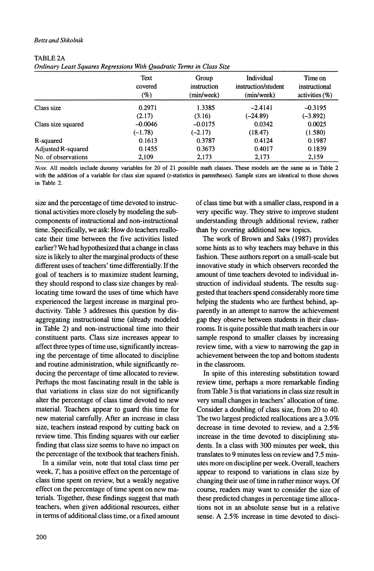|                     | Text<br>covered<br>$(\%)$ | Group<br>instruction<br>(min/week) | Individual<br>instruction/student<br>(min/week) | Time on<br>instructional<br>activities $(\% )$ |
|---------------------|---------------------------|------------------------------------|-------------------------------------------------|------------------------------------------------|
| Class size          | 0.2971                    | 1.3385                             | $-2.4141$                                       | $-0.3195$                                      |
|                     | (2.17)                    | (3.16)                             | $(-24.89)$                                      | (–3.892)                                       |
| Class size squared  | $-0.0046$                 | $-0.0175$                          | 0.0342                                          | 0.0025                                         |
|                     | $(-1.78)$                 | $(-2.17)$                          | (18.47)                                         | (1.580)                                        |
| R-squared           | 0.1613                    | 0.3787                             | 0.4124                                          | 0.1987                                         |
| Adjusted R-squared  | 0.1455                    | 0.3673                             | 0.4017                                          | 0.1839                                         |
| No. of observations | 2.109                     | 2,173                              | 2.173                                           | 2,159                                          |

#### **TABLE 2A**

**Ordinary Least Squares Regressions With Quadratic Terms in Class Size** 

**Note. All models include dummy variables for 20 of 21 possible math classes. These models are the same as in Table 2 with the addition of a variable for class size squared (t-statistics in parentheses). Sample sizes are identical to those shown in Table 2.** 

**size and the percentage of time devoted to instructional activities more closely by modeling the subcomponents of instructional and non-instructional time. Specifically, we ask: How do teachers reallocate their time between the five activities listed earlier? We had hypothesized that a change in class size is likely to alter the marginal products of these different uses of teachers' time differentially. If the goal of teachers is to maximize student learning, they should respond to class size changes by reallocating time toward the uses of time which have experienced the largest increase in marginal productivity. Table 3 addresses this question by disaggregating instructional time (already modeled in Table 2) and non-instructional time into their constituent parts. Class size increases appear to affect three types of time use, significantly increasing the percentage of time allocated to discipline and routine administration, while significantly reducing the percentage of time allocated to review. Perhaps the most fascinating result in the table is that variations in class size do not significantly alter the percentage of class time devoted to new material. Teachers appear to guard this time for new material carefully. After an increase in class size, teachers instead respond by cutting back on review time. This finding squares with our earlier finding that class size seems to have no impact on the percentage of the textbook that teachers finish.** 

**In a similar vein, note that total class time per week, T, has a positive effect on the percentage of class time spent on review, but a weakly negative effect on the percentage of time spent on new materials. Together, these findings suggest that math teachers, when given additional resources, either in terms of additional class time, or a fixed amount**  **of class time but with a smaller class, respond in a very specific way. They strive to improve student understanding through additional review, rather than by covering additional new topics.** 

**The work of Brown and Saks (1987) provides some hints as to why teachers may behave in this fashion. These authors report on a small-scale but innovative study in which observers recorded the amount of time teachers devoted to individual instruction of individual students. The results suggested that teachers spend considerably more time helping the students who are furthest behind, apparently in an attempt to narrow the achievement gap they observe between students in their classrooms. It is quite possible that math teachers in our sample respond to smaller classes by increasing review time, with a view to narrowing the gap in achievement between the top and bottom students in the classroom.** 

**In spite of this interesting substitution toward review time, perhaps a more remarkable finding from Table 3 is that variations in class size result in very small changes in teachers' allocation of time. Consider a doubling of class size, from 20 to 40. The two largest predicted reallocations are a 3.0% decrease in time devoted to review, and a 2.5% increase in the time devoted to disciplining students. In a class with 300 minutes per week, this translates to 9 minutes less on review and 7.5 minutes more on discipline per week. Overall, teachers appear to respond to variations in class size by changing their use of time in rather minor ways. Of course, readers may want to consider the size of these predicted changes in percentage time allocations not in an absolute sense but in a relative sense. A 2.5% increase in time devoted to disci-**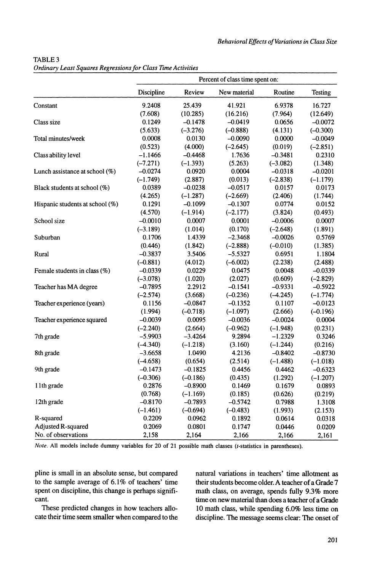|                                 | Percent of class time spent on: |            |              |            |                |  |
|---------------------------------|---------------------------------|------------|--------------|------------|----------------|--|
|                                 | Discipline                      | Review     | New material | Routine    | <b>Testing</b> |  |
| Constant                        | 9.2408                          | 25.439     | 41.921       | 6.9378     | 16.727         |  |
|                                 | (7.608)                         | (10.285)   | (16.216)     | (7.964)    | (12.649)       |  |
| Class size                      | 0.1249                          | $-0.1478$  | $-0.0419$    | 0.0656     | $-0.0072$      |  |
|                                 | (5.633)                         | $(-3.276)$ | $(-0.888)$   | (4.131)    | $(-0.300)$     |  |
| Total minutes/week              | 0.0008                          | 0.0130     | $-0.0090$    | 0.0000     | $-0.0049$      |  |
|                                 | (0.523)                         | (4.000)    | $(-2.645)$   | (0.019)    | $(-2.851)$     |  |
| Class ability level             | $-1.1466$                       | $-0.4468$  | 1.7636       | $-0.3481$  | 0.2310         |  |
|                                 | $(-7.271)$                      | $(-1.393)$ | (5.263)      | $(-3.082)$ | (1.348)        |  |
| Lunch assistance at school (%)  | $-0.0274$                       | 0.0920     | 0.0004       | $-0.0318$  | $-0.0201$      |  |
|                                 | $(-1.749)$                      | (2.887)    | (0.013)      | $(-2.838)$ | $(-1.179)$     |  |
| Black students at school (%)    | 0.0389                          | $-0.0238$  | $-0.0517$    | 0.0157     | 0.0173         |  |
|                                 | (4.265)                         | $(-1.287)$ | $(-2.669)$   | (2.406)    | (1.744)        |  |
| Hispanic students at school (%) | 0.1291                          | $-0.1099$  | $-0.1307$    | 0.0774     | 0.0152         |  |
|                                 | (4.570)                         | $(-1.914)$ | $(-2.177)$   | (3.824)    | (0.493)        |  |
| School size                     | $-0.0010$                       | 0.0007     | 0.0001       | $-0.0006$  | 0.0007         |  |
|                                 | $(-3.189)$                      | (1.014)    | (0.170)      | $(-2.648)$ | (1.891)        |  |
| Suburban                        | 0.1706                          | 1.4339     | $-2.3468$    | $-0.0026$  | 0.5769         |  |
|                                 | (0.446)                         | (1.842)    | $(-2.888)$   | $(-0.010)$ | (1.385)        |  |
| Rural                           | $-0.3837$                       | 3.5406     | $-5.5327$    | 0.6951     | 1.1804         |  |
|                                 | $(-0.881)$                      | (4.012)    | $(-6.002)$   | (2.238)    | (2.488)        |  |
| Female students in class (%)    | $-0.0339$                       | 0.0229     | 0.0475       | 0.0048     | $-0.0339$      |  |
|                                 | $(-3.078)$                      | (1.020)    | (2.027)      | (0.609)    | $(-2.829)$     |  |
| Teacher has MA degree           | $-0.7895$                       | 2.2912     | $-0.1541$    | $-0.9331$  | $-0.5922$      |  |
|                                 | $(-2.574)$                      | (3.668)    | $(-0.236)$   | $(-4.245)$ | $(-1.774)$     |  |
| Teacher experience (years)      | 0.1156                          | $-0.0847$  | $-0.1352$    | 0.1107     | $-0.0123$      |  |
|                                 | (1.994)                         | $(-0.718)$ | $(-1.097)$   | (2.666)    | $(-0.196)$     |  |
| Teacher experience squared      | $-0.0039$                       | 0.0095     | $-0.0036$    | $-0.0024$  | 0.0004         |  |
|                                 | $(-2.240)$                      | (2.664)    | $(-0.962)$   | $(-1.948)$ | (0.231)        |  |
| 7th grade                       | $-5.9903$                       | $-3.4264$  | 9.2894       | $-1.2329$  | 0.3246         |  |
|                                 | $(-4.340)$                      | $(-1.218)$ | (3.160)      | $(-1.244)$ | (0.216)        |  |
| 8th grade                       | $-3.6658$                       | 1.0490     | 4.2136       | $-0.8402$  | $-0.8730$      |  |
|                                 | $(-4.658)$                      | (0.654)    | (2.514)      | $(-1.488)$ | $(-1.018)$     |  |
| 9th grade                       | $-0.1473$                       | $-0.1825$  | 0.4456       | 0.4462     | $-0.6323$      |  |
|                                 | $(-0.306)$                      | $(-0.186)$ | (0.435)      | (1.292)    | $(-1.207)$     |  |
| 11th grade                      | 0.2876                          | $-0.8900$  | 0.1469       | 0.1679     | 0.0893         |  |
|                                 | (0.768)                         | $(-1.169)$ | (0.185)      | (0.626)    | (0.219)        |  |
| 12th grade                      | $-0.8170$                       | $-0.7893$  | $-0.5742$    | 0.7988     | 1.3108         |  |
|                                 | $(-1.461)$                      | $(-0.694)$ | $(-0.483)$   | (1.993)    | (2.153)        |  |
| R-squared                       | 0.2209                          | 0.0962     | 0.1892       | 0.0614     | 0.0318         |  |
| Adjusted R-squared              | 0.2069                          | 0.0801     | 0.1747       | 0.0446     | 0.0209         |  |
| No. of observations             | 2,158                           | 2,164      | 2,166        | 2,166      | 2,161          |  |

**TABLE 3 Ordinary Least Squares Regressions for Class Time Activities** 

**Note. All models include dummy variables for 20 of 21 possible math classes (t-statistics in parentheses).** 

**pline is small in an absolute sense, but compared to the sample average of 6.1% of teachers' time spent on discipline, this change is perhaps significant.** 

**These predicted changes in how teachers allocate their time seem smaller when compared to the**  **natural variations in teachers' time allotment as their students become older. A teacher of a Grade 7 math class, on average, spends fully 9.3% more time on new material than does a teacher of a Grade 10 math class, while spending 6.0% less time on discipline. The message seems clear: The onset of**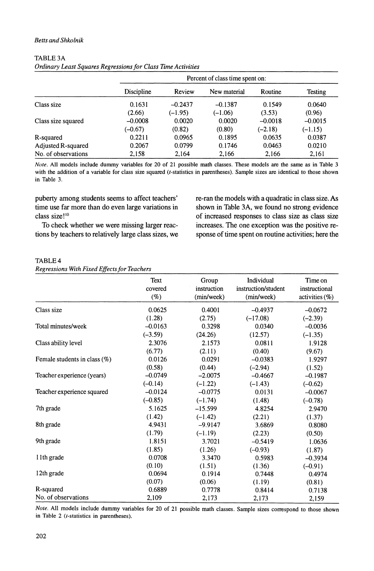|                     |            | Percent of class time spent on: |              |           |                |  |  |  |  |
|---------------------|------------|---------------------------------|--------------|-----------|----------------|--|--|--|--|
|                     | Discipline | Review                          | New material | Routine   | <b>Testing</b> |  |  |  |  |
| Class size          | 0.1631     | $-0.2437$                       | $-0.1387$    | 0.1549    | 0.0640         |  |  |  |  |
|                     | (2.66)     | $(-1.95)$                       | $(-1.06)$    | (3.53)    | (0.96)         |  |  |  |  |
| Class size squared  | $-0.0008$  | 0.0020                          | 0.0020       | $-0.0018$ | $-0.0015$      |  |  |  |  |
|                     | $(-0.67)$  | (0.82)                          | (0.80)       | $(-2.18)$ | $(-1.15)$      |  |  |  |  |
| R-squared           | 0.2211     | 0.0965                          | 0.1895       | 0.0635    | 0.0387         |  |  |  |  |
| Adjusted R-squared  | 0.2067     | 0.0799                          | 0.1746       | 0.0463    | 0.0210         |  |  |  |  |
| No. of observations | 2,158      | 2,164                           | 2,166        | 2,166     | 2,161          |  |  |  |  |

## **TABLE 3A Ordinary Least Squares Regressions for Class Time Activities**

**Note. All models include dummy variables for 20 of 21 possible math classes. These models are the same as in Table 3**  with the addition of a variable for class size squared (t-statistics in parentheses). Sample sizes are identical to those shown **in Table 3.** 

**puberty among students seems to affect teachers' time use far more than do even large variations in class size!'"** 

**To check whether we were missing larger reac-**

**re-ran the models with a quadratic in class size. As shown in Table 3A, we found no strong evidence of increased responses to class size as class size increases. The one exception was the positive response of time spent on routine activities; here the** 

**tions by teachers to relatively large class sizes, we** 

| Regressions With Fixed Effects for Teachers |                           |                                    |                                                 |                                               |  |  |  |  |
|---------------------------------------------|---------------------------|------------------------------------|-------------------------------------------------|-----------------------------------------------|--|--|--|--|
|                                             | Text<br>covered<br>$(\%)$ | Group<br>instruction<br>(min/week) | Individual<br>instruction/student<br>(min/week) | Time on<br>instructional<br>activities $(\%)$ |  |  |  |  |
| Class size                                  | 0.0625                    | 0.4001                             | $-0.4937$                                       | $-0.0672$                                     |  |  |  |  |
|                                             | (1.28)                    | (2.75)                             | $(-17.08)$                                      | $(-2.39)$                                     |  |  |  |  |
| Total minutes/week                          | $-0.0163$                 | 0.3298                             | 0.0340                                          | $-0.0036$                                     |  |  |  |  |
|                                             | $(-3.59)$                 | (24.26)                            | (12.57)                                         | $(-1.35)$                                     |  |  |  |  |
| Class ability level                         | 2.3076                    | 2.1573                             | 0.0811                                          | 1.9128                                        |  |  |  |  |
|                                             | (6.77)                    | (2.11)                             | (0.40)                                          | (9.67)                                        |  |  |  |  |
| Female students in class $(\%)$             | 0.0126                    | 0.0291                             | $-0.0383$                                       | 1.9297                                        |  |  |  |  |
|                                             | (0.58)                    | (0.44)                             | $(-2.94)$                                       | (1.52)                                        |  |  |  |  |
| Teacher experience (years)                  | $-0.0749$                 | $-2.0075$                          | $-0.4667$                                       | $-0.1987$                                     |  |  |  |  |
|                                             | $(-0.14)$                 | $(-1.22)$                          | $(-1.43)$                                       | $(-0.62)$                                     |  |  |  |  |
| Teacher experience squared                  | $-0.0124$                 | $-0.0775$                          | 0.0131                                          | $-0.0067$                                     |  |  |  |  |
|                                             | $(-0.85)$                 | $(-1.74)$                          | (1.48)                                          | $(-0.78)$                                     |  |  |  |  |
| 7th grade                                   | 5.1625                    | $-15.599$                          | 4.8254                                          | 2.9470                                        |  |  |  |  |
|                                             | (1.42)                    | $(-1.42)$                          | (2.21)                                          | (1.37)                                        |  |  |  |  |
| 8th grade                                   | 4.9431                    | $-9.9147$                          | 3.6869                                          | 0.8080                                        |  |  |  |  |
|                                             | (1.79)                    | $(-1.19)$                          | (2.23)                                          | (0.50)                                        |  |  |  |  |
| 9th grade                                   | 1.8151                    | 3.7021                             | $-0.5419$                                       | 1.0636                                        |  |  |  |  |
|                                             | (1.85)                    | (1.26)                             | $(-0.93)$                                       | (1.87)                                        |  |  |  |  |
| 1 lth grade                                 | 0.0708                    | 3.3470                             | 0.5983                                          | $-0.3934$                                     |  |  |  |  |
|                                             | (0.10)                    | (1.51)                             | (1.36)                                          | $(-0.91)$                                     |  |  |  |  |
| 12th grade                                  | 0.0694                    | 0.1914                             | 0.7448                                          | 0.4974                                        |  |  |  |  |
|                                             | (0.07)                    | (0.06)                             | (1.19)                                          | (0.81)                                        |  |  |  |  |
| R-squared                                   | 0.6889                    | 0.7778                             | 0.8414                                          | 0.7138                                        |  |  |  |  |
| No. of observations                         | 2,109                     | 2,173                              | 2,173                                           | 2,159                                         |  |  |  |  |

**TABLE 4** 

**Note. All models include dummy variables for 20 of 21 possible math classes. Sample sizes correspond to those shown in Table 2 (t-statistics in parentheses).**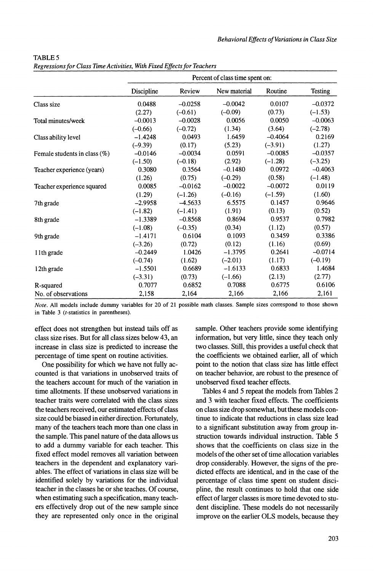|                                 | Percent of class time spent on: |           |              |           |                |  |  |
|---------------------------------|---------------------------------|-----------|--------------|-----------|----------------|--|--|
|                                 | Discipline                      | Review    | New material | Routine   | <b>Testing</b> |  |  |
| Class size                      | 0.0488                          | $-0.0258$ | $-0.0042$    | 0.0107    | $-0.0372$      |  |  |
|                                 | (2.27)                          | $(-0.61)$ | $(-0.09)$    | (0.73)    | $(-1.53)$      |  |  |
| Total minutes/week              | $-0.0013$                       | $-0.0028$ | 0.0056       | 0.0050    | $-0.0063$      |  |  |
|                                 | $(-0.66)$                       | $(-0.72)$ | (1.34)       | (3.64)    | $(-2.78)$      |  |  |
| Class ability level             | $-1.4248$                       | 0.0493    | 1.6459       | $-0.4064$ | 0.2169         |  |  |
|                                 | $(-9.39)$                       | (0.17)    | (5.23)       | $(-3.91)$ | (1.27)         |  |  |
| Female students in class $(\%)$ | $-0.0146$                       | $-0.0034$ | 0.0591       | $-0.0085$ | $-0.0357$      |  |  |
|                                 | $(-1.50)$                       | $(-0.18)$ | (2.92)       | $(-1.28)$ | $(-3.25)$      |  |  |
| Teacher experience (years)      | 0.3080                          | 0.3564    | $-0.1480$    | 0.0972    | $-0.4063$      |  |  |
|                                 | (1.26)                          | (0.75)    | $(-0.29)$    | (0.58)    | $(-1.48)$      |  |  |
| Teacher experience squared      | 0.0085                          | $-0.0162$ | $-0.0022$    | $-0.0072$ | 0.0119         |  |  |
|                                 | (1.29)                          | $(-1.26)$ | $(-0.16)$    | $(-1.59)$ | (1.60)         |  |  |
| 7th grade                       | $-2.9958$                       | $-4.5633$ | 6.5575       | 0.1457    | 0.9646         |  |  |
|                                 | $(-1.82)$                       | $(-1.41)$ | (1.91)       | (0.13)    | (0.52)         |  |  |
| 8th grade                       | $-1.3389$                       | $-0.8568$ | 0.8694       | 0.9537    | 0.7982         |  |  |
|                                 | $(-1.08)$                       | $(-0.35)$ | (0.34)       | (1.12)    | (0.57)         |  |  |
| 9th grade                       | $-1.4171$                       | 0.6104    | 0.1093       | 0.3459    | 0.3386         |  |  |
|                                 | $(-3.26)$                       | (0.72)    | (0.12)       | (1.16)    | (0.69)         |  |  |
| 11th grade                      | $-0.2449$                       | 1.0426    | $-1.3795$    | 0.2641    | $-0.0714$      |  |  |
|                                 | $(-0.74)$                       | (1.62)    | $(-2.01)$    | (1.17)    | $(-0.19)$      |  |  |
| 12th grade                      | $-1.5501$                       | 0.6689    | $-1.6133$    | 0.6833    | 1.4684         |  |  |
|                                 | $(-3.31)$                       | (0.73)    | $(-1.66)$    | (2.13)    | (2.77)         |  |  |
| R-squared                       | 0.7077                          | 0.6852    | 0.7088       | 0.6775    | 0.6106         |  |  |
| No. of observations             | 2.158                           | 2,164     | 2.166        | 2.166     | 2,161          |  |  |

**TABLE 5 Regressions for Class Time Activities, With Fixed Effects for Teachers** 

**Note. All models include dummy variables for 20 of 21 possible math classes. Sample sizes correspond to those shown in Table 3 (t-statistics in parentheses).** 

**effect does not strengthen but instead tails off as class size rises. But for all class sizes below 43, an increase in class size is predicted to increase the percentage of time spent on routine activities.** 

**One possibility for which we have not fully accounted is that variations in unobserved traits of the teachers account for much of the variation in time allotments. If these unobserved variations in teacher traits were correlated with the class sizes the teachers received, our estimated effects of class size could be biased in either direction. Fortunately, many of the teachers teach more than one class in the sample. This panel nature of the data allows us to add a dummy variable for each teacher. This fixed effect model removes all variation between teachers in the dependent and explanatory variables. The effect of variations in class size will be identified solely by variations for the individual teacher in the classes he or she teaches. Of course, when estimating such a specification, many teachers effectively drop out of the new sample since they are represented only once in the original**  **sample. Other teachers provide some identifying information, but very little, since they teach only two classes. Still, this provides a useful check that the coefficients we obtained earlier, all of which point to the notion that class size has little effect on teacher behavior, are robust to the presence of unobserved fixed teacher effects.** 

**Tables 4 and 5 repeat the models from Tables 2 and 3 with teacher fixed effects. The coefficients on class size drop somewhat, but these models continue to indicate that reductions in class size lead to a significant substitution away from group instruction towards individual instruction. Table 5 shows that the coefficients on class size in the models of the other set of time allocation variables drop considerably. However, the signs of the predicted effects are identical, and in the case of the percentage of class time spent on student discipline, the result continues to hold that one side effect of larger classes is more time devoted to student discipline. These models do not necessarily improve on the earlier OLS models, because they**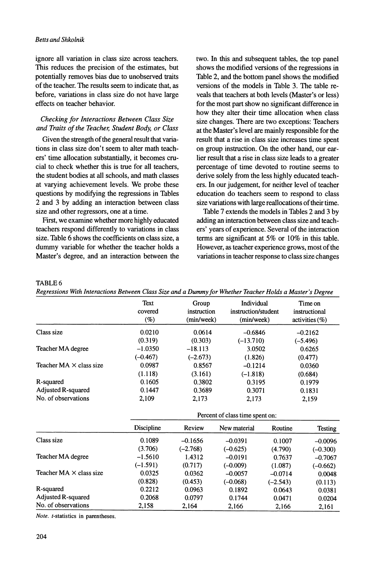**ignore all variation in class size across teachers. This reduces the precision of the estimates, but potentially removes bias due to unobserved traits of the teacher. The results seem to indicate that, as before, variations in class size do not have large effects on teacher behavior.** 

# **Checking for Interactions Between Class Size and Traits of the Teacher; Student Body, or Class**

**Given the strength of the general result that variations in class size don't seem to alter math teachers' time allocation substantially, it becomes crucial to check whether this is true for all teachers, the student bodies at all schools, and math classes at varying achievement levels. We probe these questions by modifying the regressions in Tables 2 and 3 by adding an interaction between class size and other regressors, one at a time.** 

**First, we examine whether more highly educated teachers respond differently to variations in class size. Table 6 shows the coefficients on class size, a dummy variable for whether the teacher holds a Master's degree, and an interaction between the**  **two. In this and subsequent tables, the top panel shows the modified versions of the regressions in Table 2, and the bottom panel shows the modified versions of the models in Table 3. The table reveals that teachers at both levels (Master's or less) for the most part show no significant difference in how they alter their time allocation when class size changes. There are two exceptions: Teachers at the Master's level are mainly responsible for the result that a rise in class size increases time spent on group instruction. On the other hand, our earlier result that a rise in class size leads to a greater percentage of time devoted to routine seems to derive solely from the less highly educated teachers. In our judgement, for neither level of teacher education do teachers seem to respond to class size variations with large reallocations of their time.** 

**Table 7 extends the models in Tables 2 and 3 by adding an interaction between class size and teachers' years of experience. Several of the interaction terms are significant at 5% or 10% in this table. However, as teacher experience grows, most of the variations in teacher response to class size changes** 

**TABLE 6** 

| Regressions With Interactions Between Class Size and a Dummy for Whether Teacher Holds a Master's Degree |  |  |
|----------------------------------------------------------------------------------------------------------|--|--|
|                                                                                                          |  |  |

| v                              |                                  |                                    |                                                 |            | o                                          |  |
|--------------------------------|----------------------------------|------------------------------------|-------------------------------------------------|------------|--------------------------------------------|--|
|                                | <b>Text</b><br>covered<br>$(\%)$ | Group<br>instruction<br>(min/week) | Individual<br>instruction/student<br>(min/week) |            | Time on<br>instructional<br>activities (%) |  |
| Class size                     | 0.0210                           | 0.0614                             | $-0.6846$                                       |            | $-0.2162$                                  |  |
|                                | (0.319)                          | (0.303)                            | $(-13.710)$                                     |            | $(-5.496)$                                 |  |
| Teacher MA degree              | $-1.0350$                        | $-18.113$                          | 3.0502                                          |            | 0.6265                                     |  |
|                                | $(-0.467)$                       | $(-2.673)$                         | (1.826)                                         |            | (0.477)                                    |  |
| Teacher $MA \times class size$ | 0.0987                           | 0.8567                             | $-0.1214$                                       |            | 0.0360                                     |  |
|                                | (1.118)                          | (3.161)                            | $(-1.818)$                                      |            | (0.684)                                    |  |
| R-squared                      | 0.1605                           | 0.3802                             | 0.3195                                          |            | 0.1979                                     |  |
| Adjusted R-squared             | 0.1447                           | 0.3689                             | 0.3071                                          |            | 0.1831                                     |  |
| No. of observations            | 2,109                            | 2,173                              | 2,173                                           |            | 2,159                                      |  |
|                                |                                  |                                    | Percent of class time spent on:                 |            |                                            |  |
|                                | Discipline                       | Review                             | New material                                    | Routine    | <b>Testing</b>                             |  |
| Class size                     | 0.1089                           | $-0.1656$                          | $-0.0391$                                       | 0.1007     | $-0.0096$                                  |  |
|                                | (3.706)                          | $(-2.768)$                         | $(-0.625)$                                      | (4.790)    | $(-0.300)$                                 |  |
| Teacher MA degree              | $-1.5610$                        | 1.4312                             | $-0.0191$                                       | 0.7637     | $-0.7067$                                  |  |
|                                | $(-1.591)$                       | (0.717)                            | $(-0.009)$                                      | (1.087)    | $(-0.662)$                                 |  |
| Teacher $MA \times$ class size | 0.0325                           | 0.0362                             | $-0.0057$                                       | $-0.0714$  | 0.0048                                     |  |
|                                | (0.828)                          | (0.453)                            | $(-0.068)$                                      | $(-2.543)$ | (0.113)                                    |  |
| R-squared                      | 0.2212                           | 0.0963                             | 0.1892                                          | 0.0643     | 0.0381                                     |  |
| Adjusted R-squared             | 0.2068                           | 0.0797                             | 0.1744                                          | 0.0471     | 0.0204                                     |  |
| No. of observations            | 2,158                            | 2,164                              | 2,166                                           | 2,166      | 2,161                                      |  |

**Note. t-statistics in parentheses.**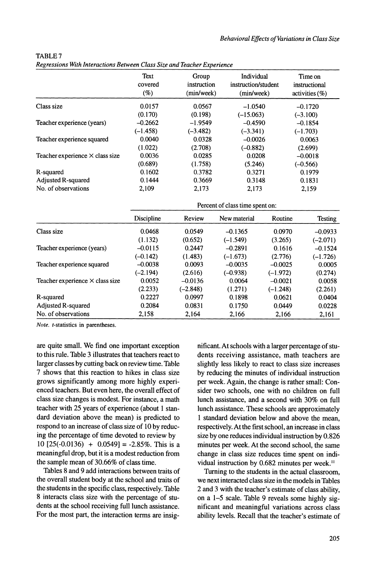| u.<br>٠. |
|----------|
|----------|

|  |  |  |  |  | Regressions With Interactions Between Class Size and Teacher Experience |  |
|--|--|--|--|--|-------------------------------------------------------------------------|--|
|  |  |  |  |  |                                                                         |  |

|                                        | Text<br>covered<br>(%) | Group<br>instruction<br>(min/week) | Individual<br>instruction/student<br>(min/week) |            | Time on<br>instructional<br>activities (%) |  |
|----------------------------------------|------------------------|------------------------------------|-------------------------------------------------|------------|--------------------------------------------|--|
| Class size                             | 0.0157                 | 0.0567                             | $-1.0540$                                       |            | $-0.1720$                                  |  |
|                                        | (0.170)                | (0.198)                            | $(-15.063)$                                     |            | $(-3.100)$                                 |  |
| Teacher experience (years)             | $-0.2662$              | $-1.9549$                          | $-0.4590$                                       |            | $-0.1854$                                  |  |
|                                        | $(-1.458)$             | $(-3.482)$                         | $(-3.341)$                                      |            | $(-1.703)$                                 |  |
| Teacher experience squared             | 0.0040                 | 0.0328                             | $-0.0026$                                       |            | 0.0063                                     |  |
|                                        | (1.022)                | (2.708)                            | $(-0.882)$                                      |            | (2.699)                                    |  |
| Teacher experience $\times$ class size | 0.0036                 | 0.0285                             | 0.0208                                          |            | $-0.0018$                                  |  |
|                                        | (0.689)                | (1.758)                            | (5.246)                                         |            | $(-0.566)$                                 |  |
| R-squared                              | 0.1602                 | 0.3782                             | 0.3271                                          |            | 0.1979                                     |  |
| Adjusted R-squared                     | 0.1444                 | 0.3669                             | 0.3148                                          |            | 0.1831                                     |  |
| No. of observations                    | 2,109                  | 2,173                              | 2.173                                           |            | 2,159                                      |  |
|                                        |                        |                                    | Percent of class time spent on:                 |            |                                            |  |
|                                        | Discipline             | Review                             | New material                                    | Routine    | <b>Testing</b>                             |  |
| Class size                             | 0.0468                 | 0.0549                             | $-0.1365$                                       | 0.0970     | $-0.0933$                                  |  |
|                                        | (1.132)                | (0.652)                            | $(-1.549)$                                      | (3.265)    | $(-2.071)$                                 |  |
| Teacher experience (years)             | $-0.0115$              | 0.2447                             | $-0.2891$                                       | 0.1616     | $-0.1524$                                  |  |
|                                        | $(-0.142)$             | (1.483)                            | $(-1.673)$                                      | (2.776)    | $(-1.726)$                                 |  |
| Teacher experience squared             | $-0.0038$              | 0.0093                             | $-0.0035$                                       | $-0.0025$  | 0.0005                                     |  |
|                                        | $(-2.194)$             | (2.616)                            | $(-0.938)$                                      | $(-1.972)$ | (0.274)                                    |  |
| Teacher experience $\times$ class size | 0.0052                 | $-0.0136$                          | 0.0064                                          | $-0.0021$  | 0.0058                                     |  |
|                                        | (2.233)                | $(-2.848)$                         | (1.271)                                         | $(-1.248)$ | (2.261)                                    |  |
| R-squared                              | 0.2227                 | 0.0997                             | 0.1898<br>0.0621                                |            | 0.0404                                     |  |
| Adjusted R-squared                     | 0.2084                 | 0.0831                             | 0.1750                                          | 0.0449     | 0.0228                                     |  |
| No. of observations                    | 2,158                  | 2,164                              | 2,166                                           | 2,166      | 2,161                                      |  |

**Note. t-statistics in parentheses.** 

**are quite small. We find one important exception to this rule. Table 3 illustrates that teachers react to larger classes by cutting back on review time. Table 7 shows that this reaction to hikes in class size grows significantly among more highly experienced teachers. But even here, the overall effect of class size changes is modest. For instance, a math teacher with 25 years of experience (about 1 standard deviation above the mean) is predicted to respond to an increase of class size of 10 by reducing the percentage of time devoted to review by 10 [25(-0.0136) + 0.0549] = -2.85%. This is a meaningful drop, but it is a modest reduction from the sample mean of 30.66% of class time.** 

**Tables 8 and 9 add interactions between traits of the overall student body at the school and traits of the students in the specific class, respectively. Table 8 interacts class size with the percentage of students at the school receiving full lunch assistance. For the most part, the interaction terms are insig-** **nificant. At schools with a larger percentage of students receiving assistance, math teachers are slightly less likely to react to class size increases by reducing the minutes of individual instruction per week. Again, the change is rather small: Consider two schools, one with no children on full lunch assistance, and a second with 30% on full lunch assistance. These schools are approximately 1 standard deviation below and above the mean, respectively. At the first school, an increase in class size by one reduces individual instruction by 0.826 minutes per week. At the second school, the same change in class size reduces time spent on individual instruction by 0.682 minutes per week."** 

**Turning to the students in the actual classroom, we next interacted class size in the models in Tables 2 and 3 with the teacher's estimate of class ability, on a 1-5 scale. Table 9 reveals some highly significant and meaningful variations across class ability levels. Recall that the teacher's estimate of**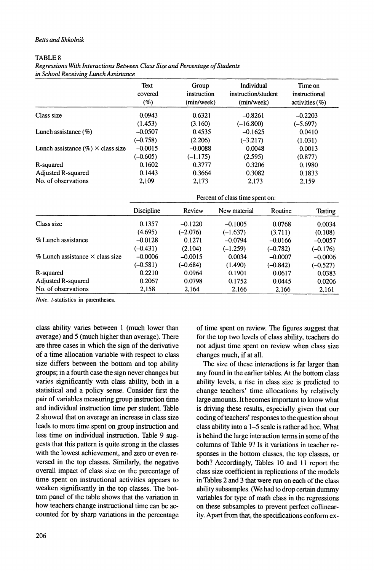**TABLE 8 Regressions With Interactions Between Class Size and Percentage of Students in School Receiving Lunch Assistance** 

|                                           | Text<br>covered<br>(%)          | Group<br>instruction<br>(min/week) | Individual<br>instruction/student<br>(min/week) | Time on<br>instructional<br>activities $(\% )$ |  |
|-------------------------------------------|---------------------------------|------------------------------------|-------------------------------------------------|------------------------------------------------|--|
| Class size                                | 0.0943                          | 0.6321                             | $-0.8261$                                       | $-0.2203$                                      |  |
|                                           | (1.453)                         | (3.160)                            | $(-16.800)$                                     | $(-5.697)$                                     |  |
| Lunch assistance $(\% )$                  | $-0.0507$                       | 0.4535                             | $-0.1625$                                       | 0.0410                                         |  |
|                                           | $(-0.758)$                      | (2.206)                            | $(-3.217)$                                      | (1.031)                                        |  |
| Lunch assistance $(\%) \times$ class size | $-0.0015$                       | $-0.0088$                          | 0.0048                                          | 0.0013                                         |  |
|                                           | $(-0.605)$                      | $(-1.175)$                         | (2.595)                                         | (0.877)                                        |  |
| R-squared                                 | 0.1602                          | 0.3777                             | 0.3206                                          | 0.1980                                         |  |
| <b>Adjusted R-squared</b>                 | 0.1443                          | 0.3664                             | 0.3082                                          | 0.1833                                         |  |
| No. of observations                       | 2.109                           | 2,173                              | 2.173                                           | 2,159                                          |  |
|                                           | Percent of class time spent on: |                                    |                                                 |                                                |  |
|                                           | Discipline                      | Review                             | New material                                    | Routine<br><b>Testing</b>                      |  |

|                                           | Discipline | Review     | New material | Routine    | <b>Testing</b> |
|-------------------------------------------|------------|------------|--------------|------------|----------------|
| Class size                                | 0.1357     | $-0.1220$  | $-0.1005$    | 0.0768     | 0.0034         |
|                                           | (4.695)    | $(-2.076)$ | $(-1.637)$   | (3.711)    | (0.108)        |
| % Lunch assistance                        | $-0.0128$  | 0.1271     | $-0.0794$    | $-0.0166$  | $-0.0057$      |
|                                           | $(-0.431)$ | (2.104)    | $(-1.259)$   | $(-0.782)$ | $(-0.176)$     |
| $\%$ Lunch assistance $\times$ class size | $-0.0006$  | $-0.0015$  | 0.0034       | $-0.0007$  | $-0.0006$      |
|                                           | $(-0.581)$ | $(-0.684)$ | (1.490)      | $(-0.842)$ | $(-0.527)$     |
| R-squared                                 | 0.2210     | 0.0964     | 0.1901       | 0.0617     | 0.0383         |
| Adjusted R-squared                        | 0.2067     | 0.0798     | 0.1752       | 0.0445     | 0.0206         |
| No. of observations                       | 2,158      | 2,164      | 2,166        | 2,166      | 2,161          |

**Note. t-statistics in parentheses.** 

**class ability varies between 1 (much lower than average) and 5 (much higher than average). There are three cases in which the sign of the derivative of a time allocation variable with respect to class size differs between the bottom and top ability groups; in a fourth case the sign never changes but varies significantly with class ability, both in a statistical and a policy sense. Consider first the pair of variables measuring group instruction time and individual instruction time per student. Table 2 showed that on average an increase in class size leads to more time spent on group instruction and less time on individual instruction. Table 9 suggests that this pattern is quite strong in the classes with the lowest achievement, and zero or even reversed in the top classes. Similarly, the negative overall impact of class size on the percentage of time spent on instructional activities appears to weaken significantly in the top classes. The bottom panel of the table shows that the variation in how teachers change instructional time can be accounted for by sharp variations in the percentage**  **of time spent on review. The figures suggest that for the top two levels of class ability, teachers do not adjust time spent on review when class size changes much, if at all.** 

**The size of these interactions is far larger than any found in the earlier tables. At the bottom class ability levels, a rise in class size is predicted to change teachers' time allocations by relatively large amounts. It becomes important to know what is driving these results, especially given that our coding of teachers' responses to the question about class ability into a 1-5 scale is rather ad hoc. What is behind the large interaction terms in some of the columns of Table 9? Is it variations in teacher responses in the bottom classes, the top classes, or both? Accordingly, Tables 10 and 11 report the class size coefficient in replications of the models in Tables 2 and 3 that were run on each of the class ability subsamples. (We had to drop certain dummy variables for type of math class in the regressions on these subsamples to prevent perfect collinearity. Apart from that, the specifications conform ex-**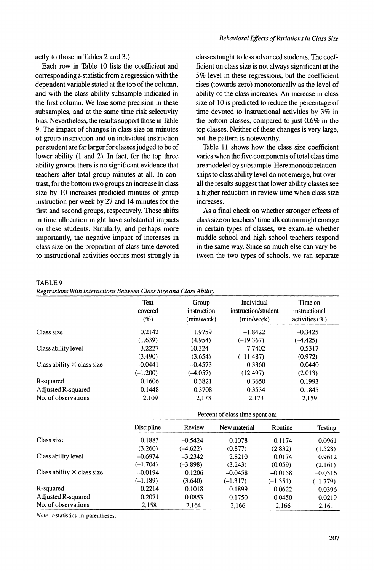**actly to those in Tables 2 and 3.)** 

**Each row in Table 10 lists the coefficient and corresponding t-statistic from a regression with the dependent variable stated at the top of the column, and with the class ability subsample indicated in the first column. We lose some precision in these subsamples, and at the same time risk selectivity bias. Nevertheless, the results support those in Table 9. The impact of changes in class size on minutes of group instruction and on individual instruction per student are far larger for classes judged to be of lower ability (1 and 2). In fact, for the top three ability groups there is no significant evidence that teachers alter total group minutes at all. In contrast, for the bottom two groups an increase in class size by 10 increases predicted minutes of group instruction per week by 27 and 14 minutes for the first and second groups, respectively. These shifts in time allocation might have substantial impacts on these students. Similarly, and perhaps more importantly, the negative impact of increases in class size on the proportion of class time devoted to instructional activities occurs most strongly in**  **classes taught to less advanced students. The coefficient on class size is not always significant at the 5% level in these regressions, but the coefficient rises (towards zero) monotonically as the level of ability of the class increases. An increase in class size of 10 is predicted to reduce the percentage of time devoted to instructional activities by 3% in the bottom classes, compared to just 0.6% in the top classes. Neither of these changes is very large, but the pattern is noteworthy.** 

**Table 11 shows how the class size coefficient varies when the five components of total class time are modeled by subsample. Here monotic relationships to class ability level do not emerge, but overall the results suggest that lower ability classes see a higher reduction in review time when class size increases.** 

**As a final check on whether stronger effects of class size on teachers' time allocation might emerge in certain types of classes, we examine whether middle school and high school teachers respond in the same way. Since so much else can vary between the two types of schools, we ran separate** 

**TABLE 9** 

|  |  |  | Regressions With Interactions Between Class Size and Class Ability |
|--|--|--|--------------------------------------------------------------------|
|  |  |  |                                                                    |

|                                   | <b>Text</b><br>covered<br>$(\%)$ | Group<br>instruction<br>(min/week) | Individual<br>instruction/student<br>(min/week) |            | Time on<br>instructional<br>activities $(\%)$ |  |
|-----------------------------------|----------------------------------|------------------------------------|-------------------------------------------------|------------|-----------------------------------------------|--|
| Class size                        | 0.2142                           | 1.9759                             | $-1.8422$                                       |            | $-0.3425$                                     |  |
|                                   | (1.639)                          | (4.954)                            | $(-19.367)$                                     |            | $(-4.425)$                                    |  |
| Class ability level               | 3.2227                           | 10.324                             | $-7.7402$                                       |            | 0.5317                                        |  |
|                                   | (3.490)                          | (3.654)                            | $(-11.487)$                                     |            | (0.972)                                       |  |
| Class ability $\times$ class size | $-0.0441$                        | $-0.4573$                          | 0.3360                                          |            | 0.0440                                        |  |
|                                   | $(-1.200)$                       | $(-4.057)$                         | (12.497)                                        |            | (2.013)                                       |  |
| R-squared                         | 0.1606                           | 0.3821                             | 0.3650                                          |            | 0.1993                                        |  |
| Adjusted R-squared                | 0.1448                           | 0.3708                             | 0.3534                                          |            | 0.1845                                        |  |
| No. of observations               | 2,109                            | 2,173                              | 2,173                                           |            | 2,159                                         |  |
|                                   |                                  | Percent of class time spent on:    |                                                 |            |                                               |  |
|                                   | Discipline                       | Review                             | New material                                    | Routine    | <b>Testing</b>                                |  |
| Class size                        | 0.1883                           | $-0.5424$                          | 0.1078                                          | 0.1174     | 0.0961                                        |  |
|                                   | (3.260)                          | $(-4.622)$                         | (0.877)                                         | (2.832)    | (1.528)                                       |  |
| Class ability level               | $-0.6974$                        | $-3.2342$                          | 2.8210                                          | 0.0174     | 0.9612                                        |  |
|                                   | $(-1.704)$                       | $(-3.898)$                         | (3.243)                                         | (0.059)    | (2.161)                                       |  |
| Class ability $\times$ class size | $-0.0194$                        | 0.1206                             | $-0.0458$                                       | $-0.0158$  | $-0.0316$                                     |  |
|                                   | $(-1.189)$                       | (3.640)                            | $(-1.317)$                                      | $(-1.351)$ | $(-1.779)$                                    |  |
| R-squared                         | 0.2214                           | 0.1018                             | 0.1899                                          | 0.0622     | 0.0396                                        |  |
| <b>Adjusted R-squared</b>         | 0.2071                           | 0.0853                             | 0.1750                                          | 0.0450     | 0.0219                                        |  |
| No. of observations               | 2,158                            | 2,164                              | 2,166                                           | 2,166      | 2,161                                         |  |

**Note. t-statistics in parentheses.**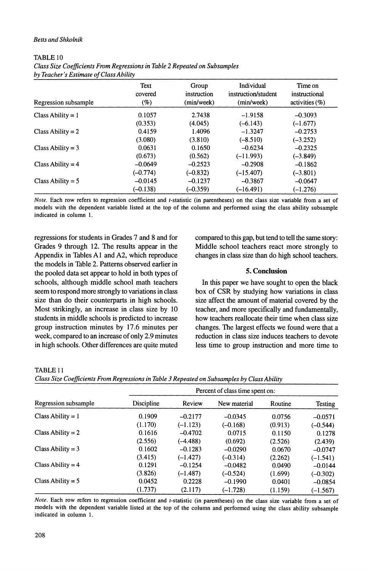| <i>by leacher s Estimate of Class Ability</i> |                        |                                    |                                                 |                                                |  |  |  |
|-----------------------------------------------|------------------------|------------------------------------|-------------------------------------------------|------------------------------------------------|--|--|--|
| Regression subsample                          | Text<br>covered<br>(%) | Group<br>instruction<br>(min/week) | Individual<br>instruction/student<br>(min/week) | Time on<br>instructional<br>activities $(\% )$ |  |  |  |
| Class Ability $= 1$                           | 0.1057                 | 2.7438                             | $-1.9158$                                       | $-0.3093$                                      |  |  |  |
|                                               | (0.353)                | (4.045)                            | $(-6.143)$                                      | $(-1.677)$                                     |  |  |  |
| Class Ability $= 2$                           | 0.4159                 | 1.4096                             | $-1.3247$                                       | $-0.2753$                                      |  |  |  |
|                                               | (3.080)                | (3.810)                            | $(-8.510)$                                      | $(-3.252)$                                     |  |  |  |
| Class Ability = $3$                           | 0.0631                 | 0.1650                             | $-0.6234$                                       | $-0.2325$                                      |  |  |  |
|                                               | (0.673)                | (0.562)                            | $(-11.993)$                                     | $(-3.849)$                                     |  |  |  |
| Class Ability $= 4$                           | $-0.0649$              | $-0.2523$                          | $-0.2908$                                       | $-0.1862$                                      |  |  |  |
|                                               | $(-0.774)$             | $(-0.832)$                         | $(-15.407)$                                     | $(-3.801)$                                     |  |  |  |
| Class Ability = $5$                           | $-0.0145$              | $-0.1237$                          | $-0.3867$                                       | $-0.0647$                                      |  |  |  |
|                                               | $(-0.138)$             | $(-0.359)$                         | (–16.491)                                       | $(-1.276)$                                     |  |  |  |

**TABLE 10 Class Size Coefficients From Regressions in Table 2 Repeated on Subsamples by Teacher's Estimate of Class Ability** 

**Note. Each row refers to regression coefficient and t-statistic (in parentheses) on the class size variable from a set of models with the dependent variable listed at the top of the column and performed using the class ability subsample indicated in column 1.** 

**regressions for students in Grades 7 and 8 and for Grades 9 through 12. The results appear in the Appendix in Tables Al and A2, which reproduce the models in Table 2. Patterns observed earlier in the pooled data set appear to hold in both types of schools, although middle school math teachers seem to respond more strongly to variations in class size than do their counterparts in high schools. Most strikingly, an increase in class size by 10 students in middle schools is predicted to increase group instruction minutes by 17.6 minutes per week, compared to an increase of only 2.9 minutes in high schools. Other differences are quite muted** 

**compared to this gap, but tend to tell the same story: Middle school teachers react more strongly to changes in class size than do high school teachers.** 

# **5. Conclusion**

**In this paper we have sought to open the black box of CSR by studying how variations in class size affect the amount of material covered by the teacher, and more specifically and fundamentally, how teachers reallocate their time when class size changes. The largest effects we found were that a reduction in class size induces teachers to devote less time to group instruction and more time to** 

**TABLE 11** 

**Class Size Coefficients From Regressions in Table 3 Repeated on Subsamples by Class Ability** 

| Regression subsample | Percent of class time spent on: |            |              |         |                |  |  |
|----------------------|---------------------------------|------------|--------------|---------|----------------|--|--|
|                      | Discipline                      | Review     | New material | Routine | <b>Testing</b> |  |  |
| Class Ability = $1$  | 0.1909                          | $-0.2177$  | $-0.0345$    | 0.0756  | $-0.0571$      |  |  |
|                      | (1.170)                         | $(-1.123)$ | $(-0.168)$   | (0.913) | $(-0.544)$     |  |  |
| Class Ability = $2$  | 0.1616                          | $-0.4702$  | 0.0715       | 0.1150  | 0.1278         |  |  |
|                      | (2.556)                         | $(-4.488)$ | (0.692)      | (2.526) | (2.439)        |  |  |
| Class Ability = $3$  | 0.1602                          | $-0.1283$  | $-0.0290$    | 0.0670  | $-0.0747$      |  |  |
|                      | (3.415)                         | $(-1.427)$ | $(-0.314)$   | (2.262) | $(-1.541)$     |  |  |
| Class Ability $= 4$  | 0.1291                          | $-0.1254$  | $-0.0482$    | 0.0490  | $-0.0144$      |  |  |
|                      | (3.826)                         | $(-1.487)$ | $(-0.524)$   | (1.699) | $(-0.302)$     |  |  |
| Class Ability = $5$  | 0.0452                          | 0.2228     | $-0.1990$    | 0.0401  | $-0.0854$      |  |  |
|                      | (1.737)                         | (2.117)    | $(-1.728)$   | (1.159) | $(-1.567)$     |  |  |

**Note. Each row refers to regression coefficient and t-statistic (in parentheses) on the class size variable from a set of models with the dependent variable listed at the top of the column and performed using the class ability subsample indicated in column 1.**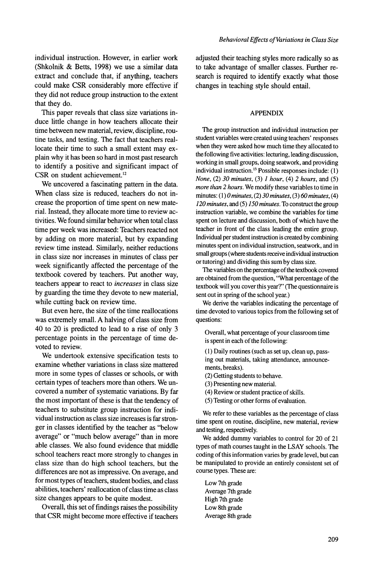**individual instruction. However, in earlier work (Shkolnik & Betts, 1998) we use a similar data extract and conclude that, if anything, teachers could make CSR considerably more effective if they did not reduce group instruction to the extent that they do.** 

**This paper reveals that class size variations induce little change in how teachers allocate their time between new material, review, discipline, routine tasks, and testing. The fact that teachers reallocate their time to such a small extent may explain why it has been so hard in most past research to identify a positive and significant impact of CSR on student achievement.'2** 

**We uncovered a fascinating pattern in the data. When class size is reduced, teachers do not increase the proportion of time spent on new material. Instead, they allocate more time to review activities. We found similar behavior when total class time per week was increased: Teachers reacted not by adding on more material, but by expanding review time instead. Similarly, neither reductions in class size nor increases in minutes of class per week significantly affected the percentage of the textbook covered by teachers. Put another way, teachers appear to react to increases in class size by guarding the time they devote to new material, while cutting back on review time.** 

**But even here, the size of the time reallocations was extremely small. A halving of class size from 40 to 20 is predicted to lead to a rise of only 3 percentage points in the percentage of time devoted to review.** 

**We undertook extensive specification tests to examine whether variations in class size mattered more in some types of classes or schools, or with certain types of teachers more than others. We uncovered a number of systematic variations. By far the most important of these is that the tendency of teachers to substitute group instruction for individual instruction as class size increases is far stronger in classes identified by the teacher as "below average" or "much below average" than in more able classes. We also found evidence that middle school teachers react more strongly to changes in class size than do high school teachers, but the differences are not as impressive. On average, and for most types of teachers, student bodies, and class abilities, teachers' reallocation of class time as class size changes appears to be quite modest.** 

**Overall, this set of findings raises the possibility that CSR might become more effective if teachers**  **adjusted their teaching styles more radically so as to take advantage of smaller classes. Further research is required to identify exactly what those changes in teaching style should entail.** 

# **APPENDIX**

**The group instruction and individual instruction per student variables were created using teachers' responses when they were asked how much time they allocated to the following five activities: lecturing, leading discussion, working in small groups, doing seatwork, and providing**  individual instruction.<sup>13</sup> Possible responses include: (1) **None, (2) 30 minutes, (3) 1 hour, (4) 2 hours, and (5) more than 2 hours. We modify these variables to time in minutes: (1) 0 minutes, (2) 30 minutes, (3) 60 minutes, (4)**  120 minutes, and (5) 150 minutes. To construct the group **instruction variable, we combine the variables for time spent on lecture and discussion, both of which have the teacher in front of the class leading the entire group. Individual per student instruction is created by combining minutes spent on individual instruction, seatwork, and in small groups (where students receive individual instruction or tutoring) and dividing this sum by class size.** 

**The variables on the percentage of the textbook covered are obtained from the question, "What percentage of the textbook will you cover this year?" (The questionnaire is sent out in spring of the school year.)** 

**We derive the variables indicating the percentage of time devoted to various topics from the following set of questions:** 

**Overall, what percentage of your classroom time is spent in each of the following:** 

- **(1) Daily routines (such as set up, clean up, passing out materials, taking attendance, announcements, breaks).**
- **(2) Getting students to behave.**
- **(3) Presenting new material.**
- **(4) Review or student practice of skills.**
- **(5) Testing or other forms of evaluation.**

**We refer to these variables as the percentage of class time spent on routine, discipline, new material, review and testing, respectively.** 

**We added dummy variables to control for 20 of 21 types of math courses taught in the LSAY schools. The coding of this information varies by grade level, but can be manipulated to provide an entirely consistent set of course types. These are:** 

**Low 7th grade Average 7th grade High 7th grade Low 8th grade Average 8th grade**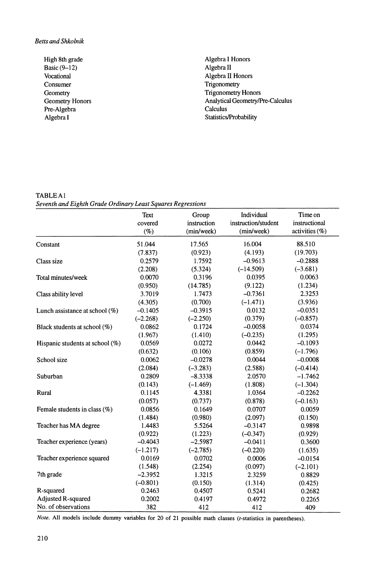**High 8th grade Basic (9-12) Vocational Consumer Geometry Geometry Honors Pre-Algebra Algebra I** 

**Algebra I Honors Algebra II Algebra II Honors Trigonometry Trigonometry Honors Analytical Geometry/Pre-Calculus Calculus Statistics/Probability** 

#### **TABLE Al Seventh and Eighth Grade Ordinary Least Squares Regressions**

|                                 | Text<br>covered<br>$(\%)$ | Group<br>instruction<br>(min/week) | Individual<br>instruction/student<br>(min/week) | Time on<br>instructional<br>activities (%) |
|---------------------------------|---------------------------|------------------------------------|-------------------------------------------------|--------------------------------------------|
| Constant                        | 51.044                    | 17.565                             | 16.004                                          | 88.510                                     |
|                                 | (7.837)                   | (0.923)                            | (4.193)                                         | (19.703)                                   |
| Class size                      | 0.2579                    | 1.7592                             | $-0.9613$                                       | $-0.2888$                                  |
|                                 | (2.208)                   | (5.324)                            | $(-14.509)$                                     | $(-3.681)$                                 |
| Total minutes/week              | 0.0070                    | 0.3196                             | 0.0395                                          | 0.0063                                     |
|                                 | (0.950)                   | (14.785)                           | (9.122)                                         | (1.234)                                    |
| Class ability level             | 3.7019                    | 1.7473                             | $-0.7361$                                       | 2.3253                                     |
|                                 | (4.305)                   | (0.700)                            | $(-1.471)$                                      | (3.936)                                    |
| Lunch assistance at school (%)  | $-0.1405$                 | $-0.3915$                          | 0.0132                                          | $-0.0351$                                  |
|                                 | $(-2.268)$                | $(-2.250)$                         | (0.379)                                         | $(-0.857)$                                 |
| Black students at school (%)    | 0.0862                    | 0.1724                             | $-0.0058$                                       | 0.0374                                     |
|                                 | (1.967)                   | (1.410)                            | $(-0.235)$                                      | (1.295)                                    |
| Hispanic students at school (%) | 0.0569                    | 0.0272                             | 0.0442                                          | $-0.1093$                                  |
|                                 | (0.632)                   | (0.106)                            | (0.859)                                         | $(-1.796)$                                 |
| School size                     | 0.0062                    | $-0.0278$                          | 0.0044                                          | $-0.0008$                                  |
|                                 | (2.084)                   | $(-3.283)$                         | (2.588)                                         | $(-0.414)$                                 |
| Suburban                        | 0.2809                    | $-8.3338$                          | 2.0570                                          | $-1.7462$                                  |
|                                 | (0.143)                   | $(-1.469)$                         | (1.808)                                         | $(-1.304)$                                 |
| Rural                           | 0.1145                    | 4.3381                             | 1.0364                                          | $-0.2262$                                  |
|                                 | (0.057)                   | (0.737)                            | (0.878)                                         | $(-0.163)$                                 |
| Female students in class (%)    | 0.0856                    | 0.1649                             | 0.0707                                          | 0.0059                                     |
|                                 | (1.484)                   | (0.980)                            | (2.097)                                         | (0.150)                                    |
| Teacher has MA degree           | 1.4483                    | 5.5264                             | $-0.3147$                                       | 0.9898                                     |
|                                 | (0.922)                   | (1.223)                            | $(-0.347)$                                      | (0.929)                                    |
| Teacher experience (years)      | $-0.4043$                 | $-2.5987$                          | $-0.0411$                                       | 0.3600                                     |
|                                 | $(-1.217)$                | $(-2.785)$                         | $(-0.220)$                                      | (1.635)                                    |
| Teacher experience squared      | 0.0169                    | 0.0702                             | 0.0006                                          | $-0.0154$                                  |
|                                 | (1.548)                   | (2.254)                            | (0.097)                                         | $(-2.101)$                                 |
| 7th grade                       | $-2.3952$                 | 1.3215                             | 2.3259                                          | 0.8829                                     |
|                                 | $(-0.801)$                | (0.150)                            | (1.314)                                         | (0.425)                                    |
| R-squared                       | 0.2463                    | 0.4507                             | 0.5241                                          | 0.2682                                     |
| <b>Adjusted R-squared</b>       | 0.2002                    | 0.4197                             | 0.4972                                          | 0.2265                                     |
| No. of observations             | 382                       | 412                                | 412                                             | 409                                        |

**Note. All models include dummy variables for 20 of 21 possible math classes (t-statistics in parentheses).**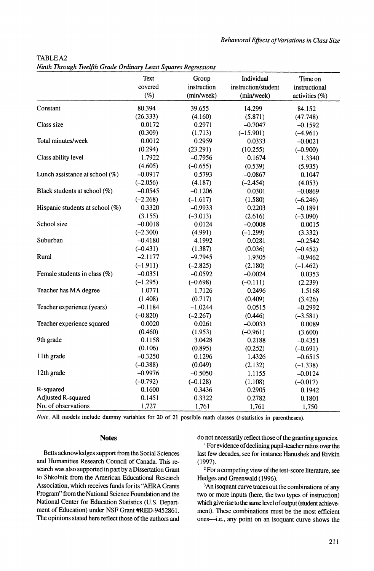|                                 | Text<br>covered<br>$(\%)$ | Group<br>instruction<br>(min/week) | Individual<br>instruction/student<br>(min/week) | Time on<br>instructional<br>activities $(\% )$ |
|---------------------------------|---------------------------|------------------------------------|-------------------------------------------------|------------------------------------------------|
| Constant                        | 80.394                    | 39.655                             | 14.299                                          | 84.152                                         |
|                                 | (26.333)                  | (4.160)                            | (5.871)                                         | (47.748)                                       |
| Class size                      | 0.0172                    | 0.2971                             | $-0.7047$                                       | $-0.1592$                                      |
|                                 | (0.309)                   | (1.713)                            | $(-15.901)$                                     | $(-4.961)$                                     |
| Total minutes/week              | 0.0012                    | 0.2959                             | 0.0333                                          | $-0.0021$                                      |
|                                 | (0.294)                   | (23.291)                           | (10.255)                                        | $(-0.900)$                                     |
| Class ability level             | 1.7922                    | $-0.7956$                          | 0.1674                                          | 1.3340                                         |
|                                 | (4.605)                   | $(-0.655)$                         | (0.539)                                         | (5.935)                                        |
| Lunch assistance at school (%)  | $-0.0917$                 | 0.5793                             | $-0.0867$                                       | 0.1047                                         |
|                                 | $(-2.056)$                | (4.187)                            | $(-2.454)$                                      | (4.053)                                        |
| Black students at school (%)    | $-0.0545$                 | $-0.1206$                          | 0.0301                                          | $-0.0869$                                      |
|                                 | $(-2.268)$                | $(-1.617)$                         | (1.580)                                         | $(-6.246)$                                     |
| Hispanic students at school (%) | 0.3320                    | $-0.9933$                          | 0.2203                                          | $-0.1891$                                      |
|                                 | (3.155)                   | $(-3.013)$                         | (2.616)                                         | $(-3.090)$                                     |
| School size                     | $-0.0018$                 | 0.0124                             | $-0.0008$                                       | 0.0015                                         |
|                                 | $(-2.300)$                | (4.991)                            | $(-1.299)$                                      | (3.332)                                        |
| Suburban                        | $-0.4180$                 | 4.1992                             | 0.0281                                          | $-0.2542$                                      |
|                                 | $(-0.431)$                | (1.387)                            | (0.036)                                         | $(-0.452)$                                     |
| Rural                           | $-2.1177$                 | $-9.7945$                          | 1.9305                                          | $-0.9462$                                      |
|                                 | $(-1.911)$                | $(-2.825)$                         | (2.180)                                         | $(-1.462)$                                     |
| Female students in class (%)    | $-0.0351$                 | $-0.0592$                          | $-0.0024$                                       | 0.0353                                         |
|                                 | $(-1.295)$                | $(-0.698)$                         | $(-0.111)$                                      | (2.239)                                        |
| Teacher has MA degree           | 1.0771                    | 1.7126                             | 0.2496                                          | 1.5168                                         |
|                                 | (1.408)                   | (0.717)                            | (0.409)                                         | (3.426)                                        |
| Teacher experience (years)      | $-0.1184$                 | $-1.0244$                          | 0.0515                                          | $-0.2992$                                      |
|                                 | $(-0.820)$                | $(-2.267)$                         | (0.446)                                         | $(-3.581)$                                     |
| Teacher experience squared      | 0.0020                    | 0.0261                             | $-0.0033$                                       | 0.0089                                         |
|                                 | (0.460)                   | (1.953)                            | $(-0.961)$                                      | (3.600)                                        |
| 9th grade                       | 0.1158                    | 3.0428                             | 0.2188                                          | $-0.4351$                                      |
|                                 | (0.106)                   | (0.895)                            | (0.252)                                         | $(-0.691)$                                     |
| 11th grade                      | $-0.3250$                 | 0.1296                             | 1.4326                                          | $-0.6515$                                      |
|                                 | $(-0.388)$                | (0.049)                            | (2.132)                                         | $(-1.338)$                                     |
| 12th grade                      | $-0.9976$                 | $-0.5050$                          | 1.1155                                          | $-0.0124$                                      |
|                                 | $(-0.792)$                | $(-0.128)$                         | (1.108)                                         | $(-0.017)$                                     |
| R-squared                       | 0.1600                    | 0.3436                             | 0.2905                                          | 0.1942                                         |
| <b>Adjusted R-squared</b>       | 0.1451                    | 0.3322                             | 0.2782                                          | 0.1801                                         |
| No. of observations             | 1,727                     | 1,761                              | 1,761                                           | 1,750                                          |

**TABLE A2 Ninth Through Twelfth Grade Ordinary Least Squares Regressions** 

**Note. All models include dummy variables for 20 of 21 possible math classes (t-statistics in parentheses).** 

#### **Notes**

**Betts acknowledges support from the Social Sciences and Humanities Research Council of Canada. This research was also supported in part by a Dissertation Grant to Shkolnik from the American Educational Research Association, which receives funds for its "AERA Grants Program" from the National Science Foundation and the National Center for Education Statistics (U.S. Department of Education) under NSF Grant #RED-9452861.**  The opinions stated here reflect those of the authors and **do not necessarily reflect those of the granting agencies.** 

**' For evidence of declining pupil-teacher ratios over the last few decades, see for instance Hanushek and Rivkin (1997).** 

**<sup>2</sup>For a competing view of the test-score literature, see Hedges and Greenwald (1996).** 

**"3An isoquant curve traces out the combinations of any two or more inputs (here, the two types of instruction) which give rise to the same level of output (student achievement). These combinations must be the most efficient ones-i.e., any point on an isoquant curve shows the**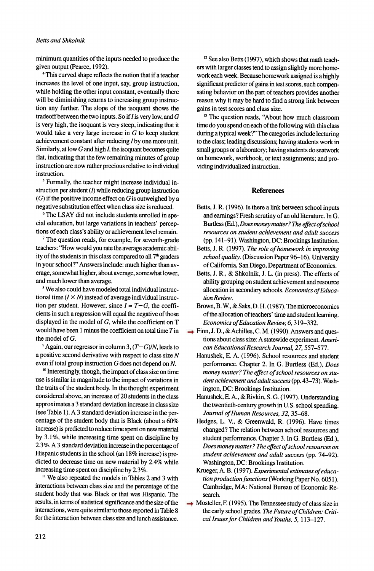**minimum quantities of the inputs needed to produce the given output (Pearce, 1992).** 

**<sup>4</sup>This curved shape reflects the notion that if a teacher increases the level of one input, say, group instruction, while holding the other input constant, eventually there will be diminishing returns to increasing group instruction any further. The slope of the isoquant shows the tradeoff between the two inputs. So if lis very low, and G is very high, the isoquant is very steep, indicating that it would take a very large increase in G to keep student achievement constant after reducing I by one more unit. Similarly, at low G and high I, the isoquant becomes quite flat, indicating that the few remaining minutes of group instruction are now rather precious relative to individual instruction.** 

**5 Formally, the teacher might increase individual instruction per student (I) while reducing group instruction (G) if the positive income effect on G is outweighed by a negative substitution effect when class size is reduced.** 

**"6 The LSAY did not include students enrolled in special education, but large variations in teachers' perceptions of each class's ability or achievement level remain.** 

**<sup>7</sup>The question reads, for example, for seventh-grade teachers: "How would you rate the average academic ability of the students in this class compared to all 7" graders in your school?" Answers include: much higher than average, somewhat higher, about average, somewhat lower, and much lower than average.** 

**" We also could have modeled total individual instruc**tional time  $(I \times N)$  instead of average individual instruction per student. However, since  $I = T - G$ , the coeffi**cients in such a regression will equal the negative of those displayed in the model of G, while the coefficient on T would have been 1 minus the coefficient on total time Tin the model of G.** 

**"9 Again, our regressor in column 3, (T- G)/N, leads to a positive second derivative with respect to class size N even if total group instruction G does not depend on N.** 

**"o Interestingly, though, the impact of class size on time use is similar in magnitude to the impact of variations in the traits of the student body. In the thought experiment considered above, an increase of 20 students in the class approximates a 3 standard deviation increase in class size (see Table 1). A 3 standard deviation increase in the percentage of the student body that is Black (about a 60% increase) is predicted to reduce time spent on new material by 3.1%, while increasing time spent on discipline by 2.3%. A 3 standard deviation increase in the percentage of Hispanic students in the school (an 18% increase) is predicted to decrease time on new material by 2.4% while increasing time spent on discipline by 2.3%.** 

**" We also repeated the models in Tables 2 and 3 with interactions between class size and the percentage of the student body that was Black or that was Hispanic. The results, in terms of statistical significance and the size of the interactions, were quite similar to those reported in Table 8 for the interaction between class size and lunch assistance.** 

**12 See also Betts (1997), which shows that math teachers with larger classes tend to assign slightly more homework each week. Because homework assigned is a highly significant predictor of gains in test scores, such compensating behavior on the part of teachers provides another reason why it may be hard to find a strong link between gains in test scores and class size.** 

<sup>13</sup> The question reads, "About how much classroom **time do you spend on each of the following with this class during a typical week?" The categories include lecturing to the class; leading discussions; having students work in small groups or alaboratory; having students do seatwork on homework, workbook, or text assignments; and providing individualized instruction.** 

#### **References**

- **Betts, J. R. (1996). Is there a link between school inputs and earnings? Fresh scrutiny of an old literature. In G. Burtless (Ed.), Does money matter? The effect ofschool resources on student achievement and adult success (pp. 141-91). Washington, DC: Brookings Institution.**
- **Betts, J. R. (1997). The role of homework in improving school quality. (Discussion Paper 96-16). University of California, San Diego, Department of Economics.**
- **Betts, J. R., & Shkolnik, J. L. (in press). The effects of ability grouping on student achievement and resource allocation in secondary schools. Economics ofEducation Review.**
- **Brown, B. W, & Saks, D. H. (1987). The microeconomics of the allocation of teachers' time and student learning. Economics ofEducation Review, 6, 319-332.**
- **Finn, J. D., & Achilles, C. M. (1990). Answers and questions about class size: A statewide experiment. American Educational Research Journal, 27, 557-577.** 
	- **Hanushek, E. A. (1996). School resources and student performance. Chapter 2. In G. Burtless (Ed.), Does money matter? The effect of school resources on student achievement and adult success (pp. 43-73). Washington, DC: Brookings Institution.**
	- **Hanushek, E. A., & Rivkin, S. G. (1997). Understanding the twentieth-century growth in U.S. school spending. Journal ofHuman Resources, 32, 35-68.**
	- **Hedges, L. V., & Greenwald, R. (1996). Have times changed? The relation between school resources and student performance. Chapter 3. In G. Burtless (Ed.), Does money matter? The effect ofschool resources on student achievement and adult success (pp. 74-92). Washington, DC: Brookings Institution.**
	- **Krueger, A. B. (1997). Experimental estimates ofeduca**tion production functions (Working Paper No. 6051). **Cambridge, MA: National Bureau of Economic Research.**
- **Mosteller, E (1995). The Tennessee study of class size in the early school grades. The Future of Children: Critical Issues for Children and Youths, 5, 113-127.**